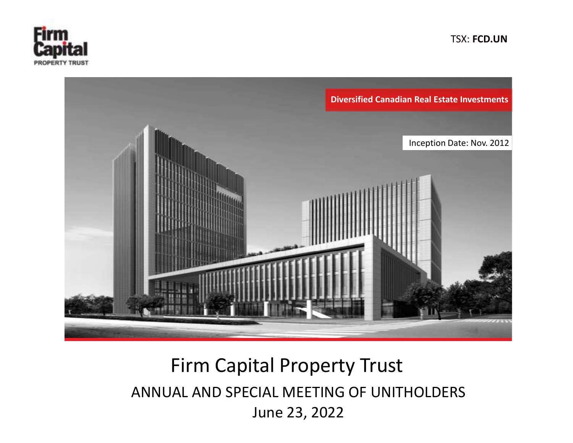

TSX: FCD.UN



# Firm Capital Property Trust ANNUAL AND SPECIAL MEETING OF UNITHOLDERS June 23, 2022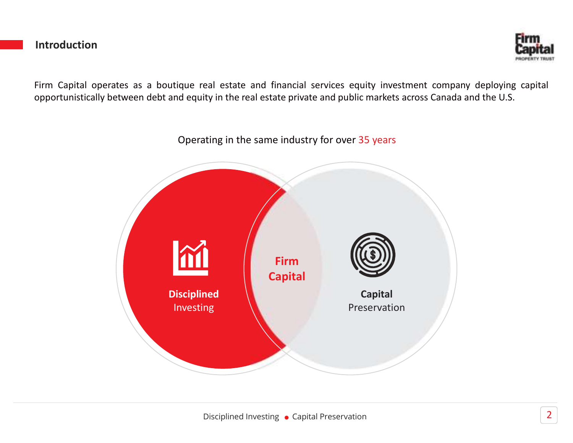#### Introduction



Firm Capital operates as a boutique real estate and financial services equity investment company deploying capital opportunistically between debt and equity in the real estate private and public markets across Canada and the U.S.

Operating in the same industry for over 35 years

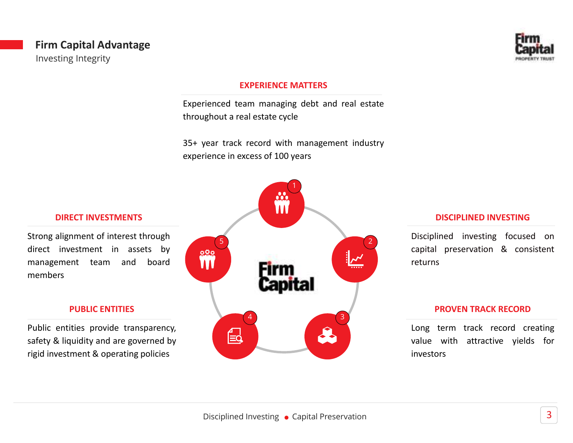#### Firm Capital Advantage Investing Integrity



#### EXPERIENCE MATTERS

Experienced team managing debt and real estate throughout a real estate cycle

35+ year track record with management industry experience in excess of 100 years



#### DISCIPLINED INVESTING

Disciplined investing focused on capital preservation & consistent returns

#### PROVEN TRACK RECORD

Long term track record creating value with attractive yields for investors

#### DIRECT INVESTMENTS

Strong alignment of interest through direct investment in assets by management team and board members

#### PUBLIC ENTITIES

Public entities provide transparency, safety & liquidity and are governed by rigid investment & operating policies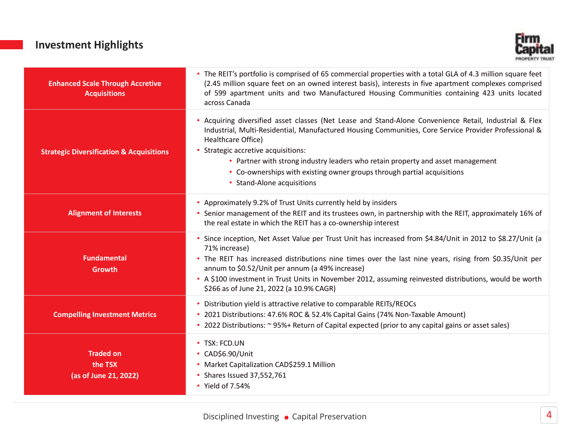## Investment Highlights



| <b>Enhanced Scale Through Accretive</b><br><b>Acquisitions</b> | • The REIT's portfolio is comprised of 65 commercial properties with a total GLA of 4.3 million square feet<br>(2.45 million square feet on an owned interest basis), interests in five apartment complexes comprised<br>of 599 apartment units and two Manufactured Housing Communities containing 423 units located<br>across Canada                                                                                                                                   |
|----------------------------------------------------------------|--------------------------------------------------------------------------------------------------------------------------------------------------------------------------------------------------------------------------------------------------------------------------------------------------------------------------------------------------------------------------------------------------------------------------------------------------------------------------|
| <b>Strategic Diversification &amp; Acquisitions</b>            | • Acquiring diversified asset classes (Net Lease and Stand-Alone Convenience Retail, Industrial & Flex<br>Industrial, Multi-Residential, Manufactured Housing Communities, Core Service Provider Professional &<br>Healthcare Office)<br>• Strategic accretive acquisitions:<br>• Partner with strong industry leaders who retain property and asset management<br>• Co-ownerships with existing owner groups through partial acquisitions<br>• Stand-Alone acquisitions |
| <b>Alignment of Interests</b>                                  | • Approximately 9.2% of Trust Units currently held by insiders<br>• Senior management of the REIT and its trustees own, in partnership with the REIT, approximately 16% of<br>the real estate in which the REIT has a co-ownership interest                                                                                                                                                                                                                              |
| <b>Fundamental</b><br>Growth                                   | Since inception, Net Asset Value per Trust Unit has increased from \$4.84/Unit in 2012 to \$8.27/Unit (a<br>71% increase)<br>• The REIT has increased distributions nine times over the last nine years, rising from \$0.35/Unit per<br>annum to \$0.52/Unit per annum (a 49% increase)<br>• A \$100 investment in Trust Units in November 2012, assuming reinvested distributions, would be worth<br>\$266 as of June 21, 2022 (a 10.9% CAGR)                           |
| <b>Compelling Investment Metrics</b>                           | • Distribution yield is attractive relative to comparable REITs/REOCs<br>* 2021 Distributions: 47.6% ROC & 52.4% Capital Gains (74% Non-Taxable Amount)<br>• 2022 Distributions: ~ 95%+ Return of Capital expected (prior to any capital gains or asset sales)                                                                                                                                                                                                           |
| <b>Traded on</b><br>the TSX<br>(as of June 21, 2022)           | • TSX: FCD.UN<br>• CAD\$6.90/Unit<br>• Market Capitalization CAD\$259.1 Million<br>• Shares Issued 37,552,761<br>• Yield of 7.54%                                                                                                                                                                                                                                                                                                                                        |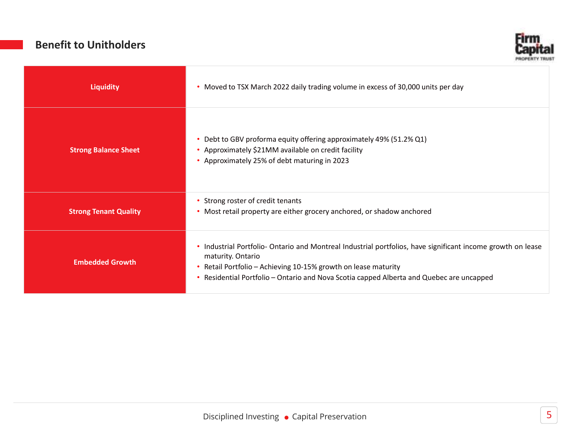## Benefit to Unitholders



| Liquidity                    | • Moved to TSX March 2022 daily trading volume in excess of 30,000 units per day                                                                                                                                                                                                                |  |
|------------------------------|-------------------------------------------------------------------------------------------------------------------------------------------------------------------------------------------------------------------------------------------------------------------------------------------------|--|
| <b>Strong Balance Sheet</b>  | Debt to GBV proforma equity offering approximately 49% (51.2% Q1)<br>• Approximately \$21MM available on credit facility<br>• Approximately 25% of debt maturing in 2023                                                                                                                        |  |
| <b>Strong Tenant Quality</b> | • Strong roster of credit tenants<br>• Most retail property are either grocery anchored, or shadow anchored                                                                                                                                                                                     |  |
| <b>Embedded Growth</b>       | • Industrial Portfolio- Ontario and Montreal Industrial portfolios, have significant income growth on lease<br>maturity. Ontario<br>Retail Portfolio - Achieving 10-15% growth on lease maturity<br>٠<br>Residential Portfolio - Ontario and Nova Scotia capped Alberta and Quebec are uncapped |  |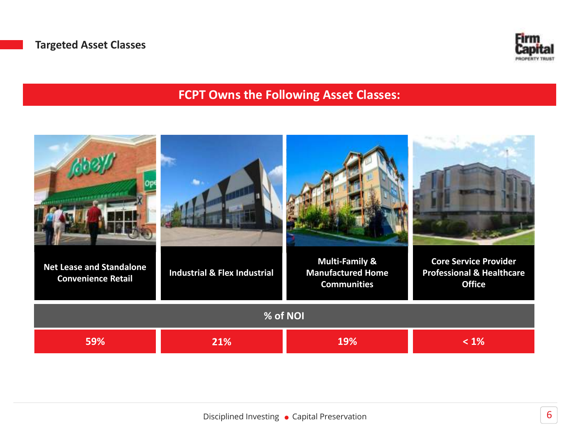

## FCPT Owns the Following Asset Classes:

| <b>Net Lease and Standalone</b><br><b>Convenience Retail</b> | <b>Industrial &amp; Flex Industrial</b> | <b>Multi-Family &amp;</b><br><b>Manufactured Home</b><br><b>Communities</b> | <b>Core Service Provider</b><br><b>Professional &amp; Healthcare</b><br><b>Office</b> |  |
|--------------------------------------------------------------|-----------------------------------------|-----------------------------------------------------------------------------|---------------------------------------------------------------------------------------|--|
| % of NOI                                                     |                                         |                                                                             |                                                                                       |  |
| 59%                                                          | 21%                                     | 19%                                                                         | $< 1\%$                                                                               |  |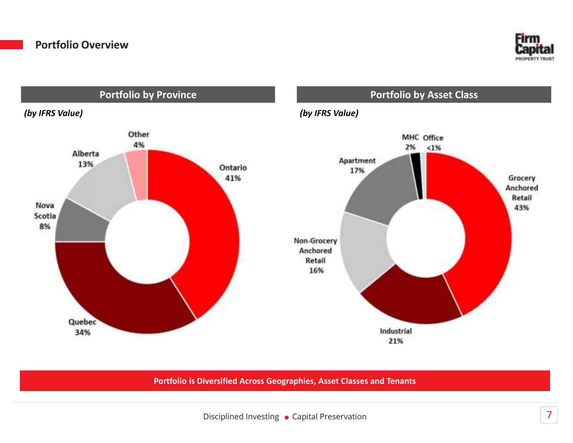



Portfolio is Diversified Across Geographies, Asset Classes and Tenants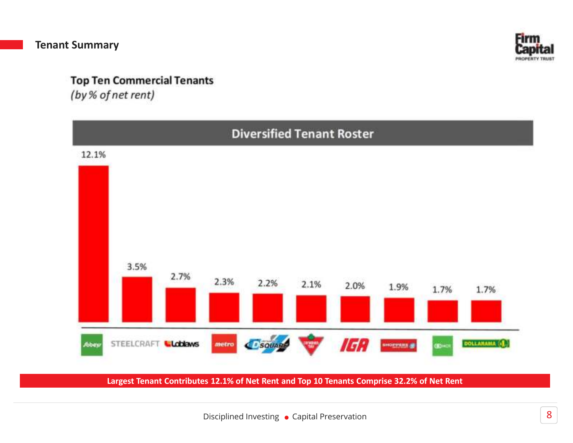

## **Top Ten Commercial Tenants**

(by % of net rent)



Largest Tenant Contributes 12.1% of Net Rent and Top 10 Tenants Comprise 32.2% of Net Rent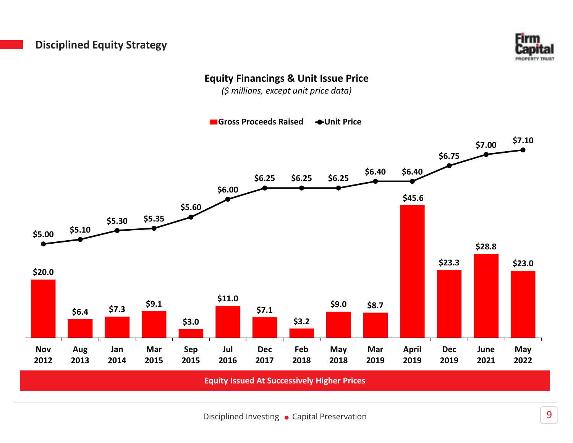## Disciplined Equity Strategy



## Equity Financings & Unit Issue Price

(\$ millions, except unit price data)

Gross Proceeds Raised 
Subsettingular Orbit Price

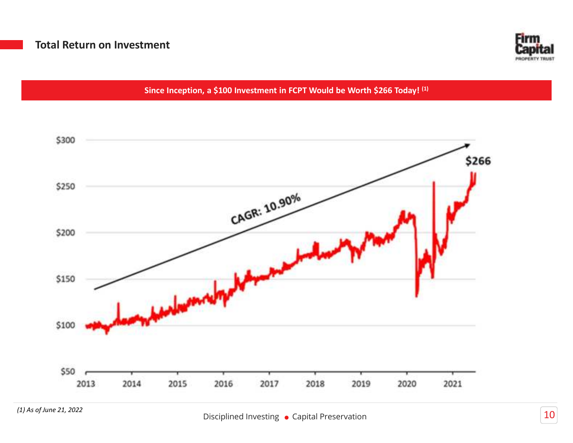

Since Inception, a \$100 Investment in FCPT Would be Worth \$266 Today! (1)

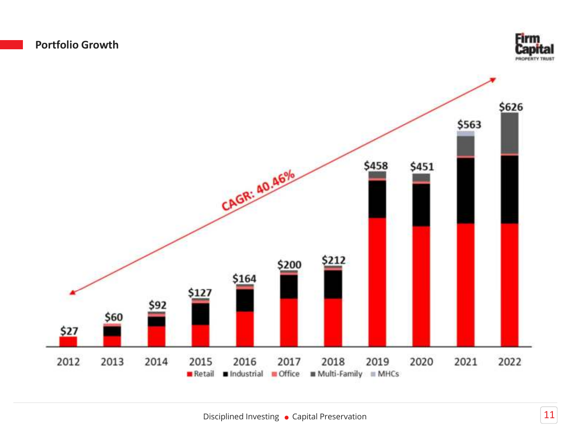



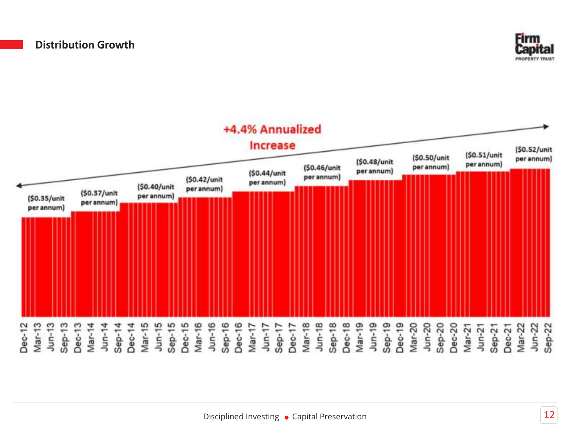

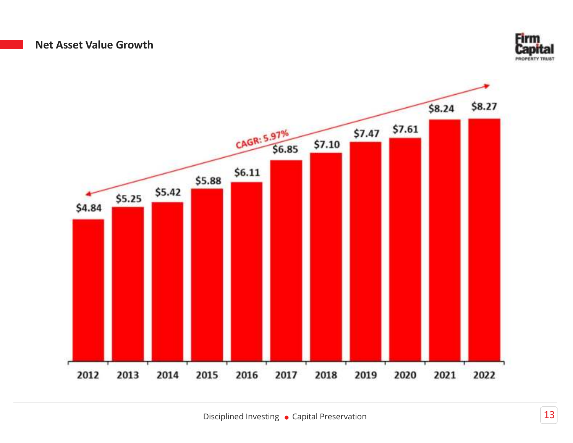#### Net Asset Value Growth



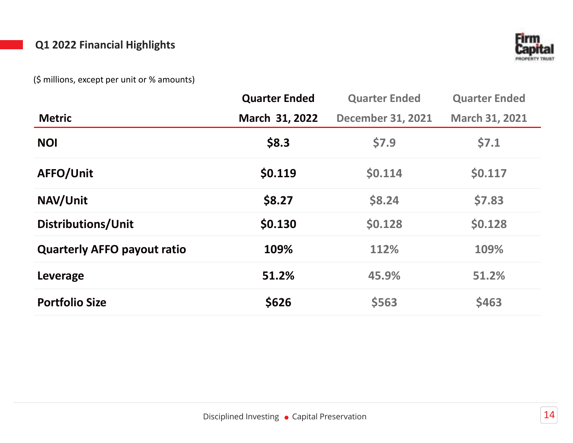## Q1 2022 Financial Highlights



(\$ millions, except per unit or % amounts)

|                                    | <b>Quarter Ended</b> | <b>Quarter Ended</b>     | <b>Quarter Ended</b>  |
|------------------------------------|----------------------|--------------------------|-----------------------|
| <b>Metric</b>                      | March 31, 2022       | <b>December 31, 2021</b> | <b>March 31, 2021</b> |
| <b>NOI</b>                         | \$8.3                | \$7.9                    | \$7.1                 |
| AFFO/Unit                          | \$0.119              | \$0.114                  | \$0.117               |
| NAV/Unit                           | \$8.27               | \$8.24                   | \$7.83                |
| Distributions/Unit                 | \$0.130              | \$0.128                  | \$0.128               |
| <b>Quarterly AFFO payout ratio</b> | 109%                 | 112%                     | 109%                  |
| Leverage                           | 51.2%                | 45.9%                    | 51.2%                 |
| <b>Portfolio Size</b>              | \$626                | \$563                    | \$463                 |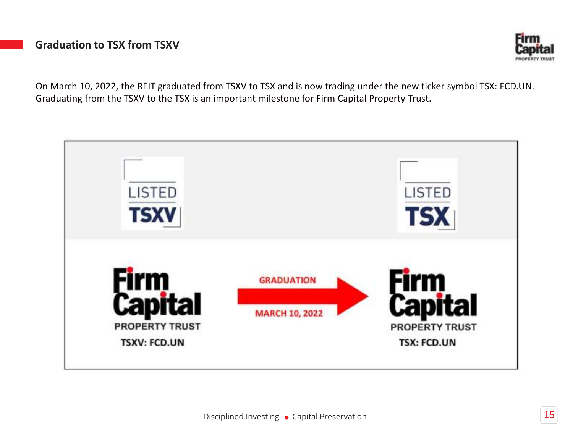## Graduation to TSX from TSXV



On March 10, 2022, the REIT graduated from TSXV to TSX and is now trading under the new ticker symbol TSX: FCD.UN. Graduating from the TSXV to the TSX is an important milestone for Firm Capital Property Trust.

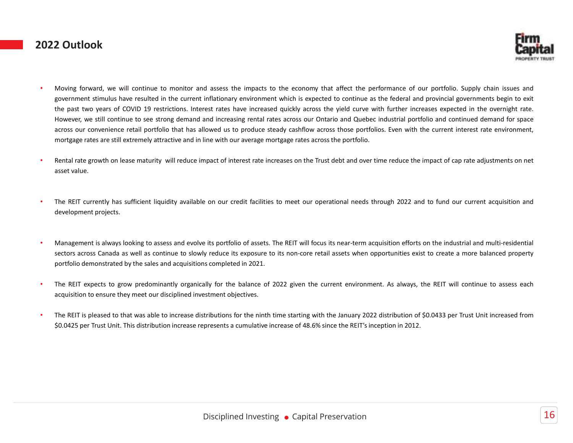#### 2022 Outlook



- Moving forward, we will continue to monitor and assess the impacts to the economy that affect the performance of our portfolio. Supply chain issues and government stimulus have resulted in the current inflationary environment which is expected to continue as the federal and provincial governments begin to exit the past two years of COVID 19 restrictions. Interest rates have increased quickly across the yield curve with further increases expected in the overnight rate. However, we still continue to see strong demand and increasing rental rates across our Ontario and Quebec industrial portfolio and continued demand for space across our convenience retail portfolio that has allowed us to produce steady cashflow across those portfolios. Even with the current interest rate environment, mortgage rates are still extremely attractive and in line with our average mortgage rates across the portfolio.
- Rental rate growth on lease maturity will reduce impact of interest rate increases on the Trust debt and over time reduce the impact of cap rate adjustments on net asset value.
- The REIT currently has sufficient liquidity available on our credit facilities to meet our operational needs through 2022 and to fund our current acquisition and development projects.
- Management is always looking to assess and evolve its portfolio of assets. The REIT will focus its near-term acquisition efforts on the industrial and multi-residential sectors across Canada as well as continue to slowly reduce its exposure to its non-core retail assets when opportunities exist to create a more balanced property portfolio demonstrated by the sales and acquisitions completed in 2021.
- The REIT expects to grow predominantly organically for the balance of 2022 given the current environment. As always, the REIT will continue to assess each acquisition to ensure they meet our disciplined investment objectives.
- The REIT is pleased to that was able to increase distributions for the ninth time starting with the January 2022 distribution of \$0.0433 per Trust Unit increased from \$0.0425 per Trust Unit. This distribution increase represents a cumulative increase of 48.6% since the REIT's inception in 2012.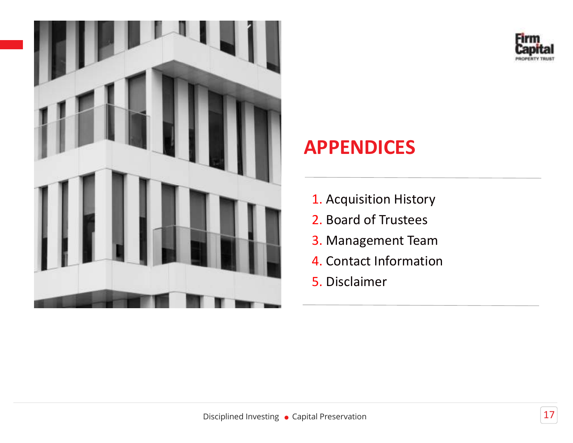



## APPENDICES

- 1. Acquisition History
- 2. Board of Trustees
- 3. Management Team
- 4. Contact Information
- 5. Disclaimer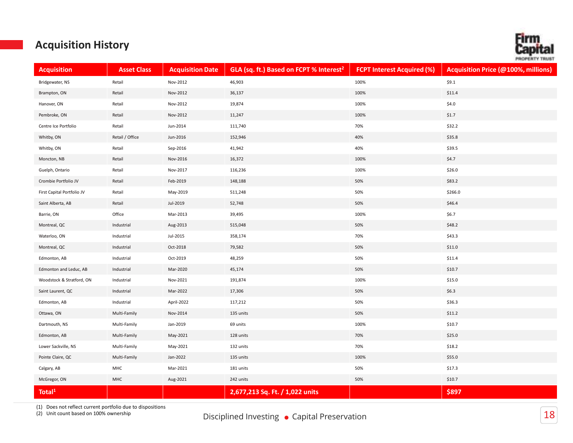# PROPERTY

## Acquisition History

| <b>Acquisition</b>         | <b>Asset Class</b> | <b>Acquisition Date</b> | GLA (sq. ft.) Based on FCPT % Interest <sup>2</sup> | <b>FCPT Interest Acquired (%)</b> | Acquisition Price (@100%, millions) |
|----------------------------|--------------------|-------------------------|-----------------------------------------------------|-----------------------------------|-------------------------------------|
| Bridgewater, NS            | Retail             | Nov-2012                | 46,903                                              | 100%                              | \$9.1                               |
| Brampton, ON               | Retail             | Nov-2012                | 36,137                                              | 100%                              | \$11.4                              |
| Hanover, ON                | Retail             | Nov-2012                | 19,874                                              | 100%                              | \$4.0                               |
| Pembroke, ON               | Retail             | Nov-2012                | 11,247                                              | 100%                              | \$1.7                               |
| Centre Ice Portfolio       | Retail             | Jun-2014                | 111,740                                             | 70%                               | \$32.2                              |
| Whitby, ON                 | Retail / Office    | Jun-2016                | 152,946                                             | 40%                               | \$35.8                              |
| Whitby, ON                 | Retail             | Sep-2016                | 41,942                                              | 40%                               | \$39.5                              |
| Moncton, NB                | Retail             | Nov-2016                | 16,372                                              | 100%                              | \$4.7                               |
| Guelph, Ontario            | Retail             | Nov-2017                | 116,236                                             | 100%                              | \$26.0                              |
| Crombie Portfolio JV       | Retail             | Feb-2019                | 148,188                                             | 50%                               | \$83.2                              |
| First Capital Portfolio JV | Retail             | May-2019                | 511,248                                             | 50%                               | \$266.0                             |
| Saint Alberta, AB          | Retail             | Jul-2019                | 52,748                                              | 50%                               | \$46.4                              |
| Barrie, ON                 | Office             | Mar-2013                | 39,495                                              | 100%                              | \$6.7                               |
| Montreal, QC               | Industrial         | Aug-2013                | 515,048                                             | 50%                               | \$48.2                              |
| Waterloo, ON               | Industrial         | Jul-2015                | 358,174                                             | 70%                               | \$43.3                              |
| Montreal, QC               | Industrial         | Oct-2018                | 79,582                                              | 50%                               | \$11.0                              |
| Edmonton, AB               | Industrial         | Oct-2019                | 48,259                                              | 50%                               | \$11.4                              |
| Edmonton and Leduc, AB     | Industrial         | Mar-2020                | 45,174                                              | 50%                               | \$10.7                              |
| Woodstock & Stratford, ON  | Industrial         | Nov-2021                | 191,874                                             | 100%                              | \$15.0                              |
| Saint Laurent, QC          | Industrial         | Mar-2022                | 17,306                                              | 50%                               | \$6.3                               |
| Edmonton, AB               | Industrial         | April-2022              | 117,212                                             | 50%                               | \$36.3                              |
| Ottawa, ON                 | Multi-Family       | Nov-2014                | 135 units                                           | 50%                               | \$11.2                              |
| Dartmouth, NS              | Multi-Family       | Jan-2019                | 69 units                                            | 100%                              | \$10.7                              |
| Edmonton, AB               | Multi-Family       | May-2021                | 128 units                                           | 70%                               | \$25.0                              |
| Lower Sackville, NS        | Multi-Family       | May-2021                | 132 units                                           | 70%                               | \$18.2                              |
| Pointe Claire, QC          | Multi-Family       | Jan-2022                | 135 units                                           | 100%                              | \$55.0                              |
| Calgary, AB                | MHC                | Mar-2021                | 181 units                                           | 50%                               | \$17.3                              |
| McGregor, ON               | MHC                | Aug-2021                | 242 units                                           | 50%                               | \$10.7                              |
| Total <sup>1</sup>         |                    |                         | 2,677,213 Sq. Ft. / 1,022 units                     |                                   | \$897                               |

(1) Does not reflect current portfolio due to dispositions

(2) Unit count based on 100% ownership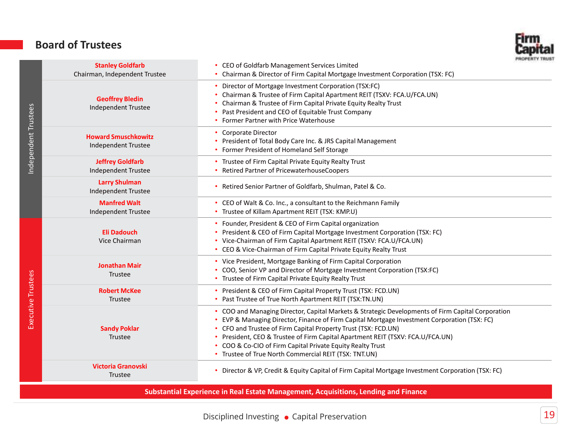## Board of Trustees



| Independent Trustees | <b>Stanley Goldfarb</b><br>Chairman, Independent Trustee | <b><i>PROPERTY TRUS</i></b><br>• CEO of Goldfarb Management Services Limited<br>• Chairman & Director of Firm Capital Mortgage Investment Corporation (TSX: FC)                                                                                                                                                                                                                                                                                                              |
|----------------------|----------------------------------------------------------|------------------------------------------------------------------------------------------------------------------------------------------------------------------------------------------------------------------------------------------------------------------------------------------------------------------------------------------------------------------------------------------------------------------------------------------------------------------------------|
|                      | <b>Geoffrey Bledin</b><br>Independent Trustee            | • Director of Mortgage Investment Corporation (TSX:FC)<br>• Chairman & Trustee of Firm Capital Apartment REIT (TSXV: FCA.U/FCA.UN)<br>Chairman & Trustee of Firm Capital Private Equity Realty Trust<br>• Past President and CEO of Equitable Trust Company<br>• Former Partner with Price Waterhouse                                                                                                                                                                        |
|                      | <b>Howard Smuschkowitz</b><br><b>Independent Trustee</b> | <b>Corporate Director</b><br>• President of Total Body Care Inc. & JRS Capital Management<br>• Former President of Homeland Self Storage                                                                                                                                                                                                                                                                                                                                     |
|                      | <b>Jeffrey Goldfarb</b><br><b>Independent Trustee</b>    | • Trustee of Firm Capital Private Equity Realty Trust<br>• Retired Partner of PricewaterhouseCoopers                                                                                                                                                                                                                                                                                                                                                                         |
|                      | <b>Larry Shulman</b><br><b>Independent Trustee</b>       | • Retired Senior Partner of Goldfarb, Shulman, Patel & Co.                                                                                                                                                                                                                                                                                                                                                                                                                   |
|                      | <b>Manfred Walt</b><br><b>Independent Trustee</b>        | • CEO of Walt & Co. Inc., a consultant to the Reichmann Family<br>• Trustee of Killam Apartment REIT (TSX: KMP.U)                                                                                                                                                                                                                                                                                                                                                            |
|                      | <b>Eli Dadouch</b><br>Vice Chairman                      | • Founder, President & CEO of Firm Capital organization<br>• President & CEO of Firm Capital Mortgage Investment Corporation (TSX: FC)<br>• Vice-Chairman of Firm Capital Apartment REIT (TSXV: FCA.U/FCA.UN)<br>• CEO & Vice-Chairman of Firm Capital Private Equity Realty Trust                                                                                                                                                                                           |
|                      | <b>Jonathan Mair</b><br>Trustee                          | • Vice President, Mortgage Banking of Firm Capital Corporation<br>• COO, Senior VP and Director of Mortgage Investment Corporation (TSX:FC)<br>• Trustee of Firm Capital Private Equity Realty Trust                                                                                                                                                                                                                                                                         |
|                      | <b>Robert McKee</b><br>Trustee                           | • President & CEO of Firm Capital Property Trust (TSX: FCD.UN)<br>• Past Trustee of True North Apartment REIT (TSX:TN.UN)                                                                                                                                                                                                                                                                                                                                                    |
| Executive Trustees   | <b>Sandy Poklar</b><br>Trustee                           | • COO and Managing Director, Capital Markets & Strategic Developments of Firm Capital Corporation<br>• EVP & Managing Director, Finance of Firm Capital Mortgage Investment Corporation (TSX: FC)<br>• CFO and Trustee of Firm Capital Property Trust (TSX: FCD.UN)<br>• President, CEO & Trustee of Firm Capital Apartment REIT (TSXV: FCA.U/FCA.UN)<br>• COO & Co-CIO of Firm Capital Private Equity Realty Trust<br>• Trustee of True North Commercial REIT (TSX: TNT.UN) |
|                      | <b>Victoria Granovski</b><br>Trustee                     | • Director & VP, Credit & Equity Capital of Firm Capital Mortgage Investment Corporation (TSX: FC)                                                                                                                                                                                                                                                                                                                                                                           |

Substantial Experience in Real Estate Management, Acquisitions, Lending and Finance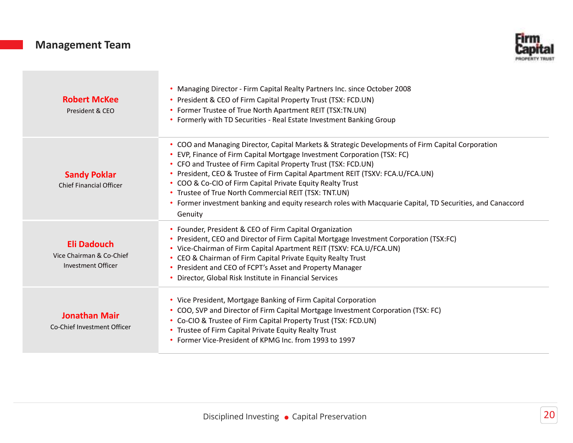## Management Team



| <b>Robert McKee</b><br>President & CEO                               | • Managing Director - Firm Capital Realty Partners Inc. since October 2008<br>• President & CEO of Firm Capital Property Trust (TSX: FCD.UN)<br>• Former Trustee of True North Apartment REIT (TSX:TN.UN)<br>• Formerly with TD Securities - Real Estate Investment Banking Group                                                                                                                                                                                                                                                                                                 |
|----------------------------------------------------------------------|-----------------------------------------------------------------------------------------------------------------------------------------------------------------------------------------------------------------------------------------------------------------------------------------------------------------------------------------------------------------------------------------------------------------------------------------------------------------------------------------------------------------------------------------------------------------------------------|
| <b>Sandy Poklar</b><br><b>Chief Financial Officer</b>                | • COO and Managing Director, Capital Markets & Strategic Developments of Firm Capital Corporation<br>• EVP, Finance of Firm Capital Mortgage Investment Corporation (TSX: FC)<br>• CFO and Trustee of Firm Capital Property Trust (TSX: FCD.UN)<br>· President, CEO & Trustee of Firm Capital Apartment REIT (TSXV: FCA.U/FCA.UN)<br>• COO & Co-CIO of Firm Capital Private Equity Realty Trust<br>• Trustee of True North Commercial REIT (TSX: TNT.UN)<br>• Former investment banking and equity research roles with Macquarie Capital, TD Securities, and Canaccord<br>Genuity |
| <b>Eli Dadouch</b><br>Vice Chairman & Co-Chief<br>Investment Officer | • Founder, President & CEO of Firm Capital Organization<br>President, CEO and Director of Firm Capital Mortgage Investment Corporation (TSX:FC)<br>• Vice-Chairman of Firm Capital Apartment REIT (TSXV: FCA.U/FCA.UN)<br>• CEO & Chairman of Firm Capital Private Equity Realty Trust<br>• President and CEO of FCPT's Asset and Property Manager<br>• Director, Global Risk Institute in Financial Services                                                                                                                                                                     |
| <b>Jonathan Mair</b><br>Co-Chief Investment Officer                  | • Vice President, Mortgage Banking of Firm Capital Corporation<br>• COO, SVP and Director of Firm Capital Mortgage Investment Corporation (TSX: FC)<br>• Co-CIO & Trustee of Firm Capital Property Trust (TSX: FCD.UN)<br>• Trustee of Firm Capital Private Equity Realty Trust<br>• Former Vice-President of KPMG Inc. from 1993 to 1997                                                                                                                                                                                                                                         |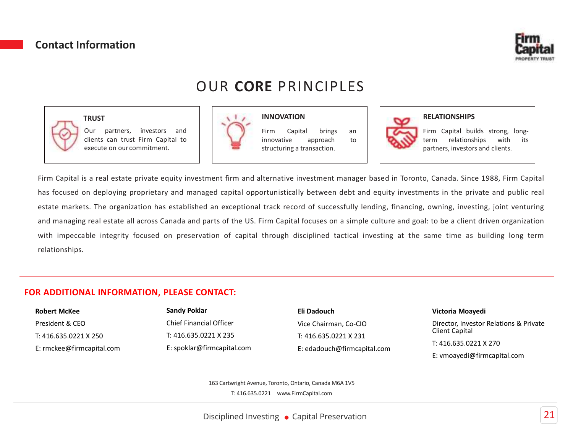#### Contact Information



## OUR CORE PRINCIPLES

INNOVATION



#### **TRUST**

Our partners, investors and clients can trust Firm Capital to execute on ourcommitment.



Firm Capital brings an innovative approach to structuring a transaction.



#### RELATIONSHIPS

Firm Capital builds strong, longterm relationships with its partners, investors and clients.

Firm Capital is a real estate private equity investment firm and alternative investment manager based in Toronto, Canada. Since 1988, Firm Capital has focused on deploying proprietary and managed capital opportunistically between debt and equity investments in the private and public real estate markets. The organization has established an exceptional track record of successfully lending, financing, owning, investing, joint venturing and managing real estate all across Canada and parts of the US. Firm Capital focuses on a simple culture and goal: to be a client driven organization with impeccable integrity focused on preservation of capital through disciplined tactical investing at the same time as building long term relationships.

#### FOR ADDITIONAL INFORMATION, PLEASE CONTACT:

| <b>Robert McKee</b>       | <b>Sandy Poklar</b>            | Eli Dadouch                 | Victoria Moayedi                       |
|---------------------------|--------------------------------|-----------------------------|----------------------------------------|
| President & CEO           | <b>Chief Financial Officer</b> | Vice Chairman, Co-CIO       | Director, Investor Relations & Private |
| T: 416.635.0221 X 250     | T: 416.635.0221 X 235          | T: 416.635.0221 X 231       | Client Capital                         |
| E: rmckee@firmcapital.com | E: spoklar@firmcapital.com     | E: edadouch@firmcapital.com | T: 416.635.0221 X 270                  |
|                           |                                |                             | E: vmoayedi@firmcapital.com            |

163 Cartwright Avenue, Toronto, Ontario, Canada M6A 1V5 T: 416.635.0221 www.FirmCapital.com